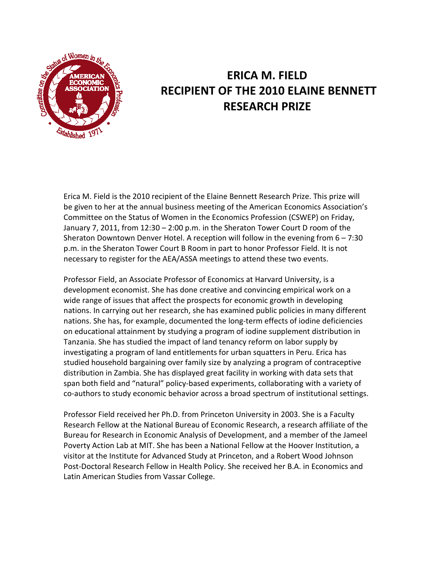

## **ERICA M. FIELD RECIPIENT OF THE 2010 ELAINE BENNETT RESEARCH PRIZE**

Erica M. Field is the 2010 recipient of the Elaine Bennett Research Prize. This prize will be given to her at the annual business meeting of the American Economics Association's Committee on the Status of Women in the Economics Profession (CSWEP) on Friday, January 7, 2011, from 12:30 – 2:00 p.m. in the Sheraton Tower Court D room of the Sheraton Downtown Denver Hotel. A reception will follow in the evening from 6 – 7:30 p.m. in the Sheraton Tower Court B Room in part to honor Professor Field. It is not necessary to register for the AEA/ASSA meetings to attend these two events.

Professor Field, an Associate Professor of Economics at Harvard University, is a development economist. She has done creative and convincing empirical work on a wide range of issues that affect the prospects for economic growth in developing nations. In carrying out her research, she has examined public policies in many different nations. She has, for example, documented the long-term effects of iodine deficiencies on educational attainment by studying a program of iodine supplement distribution in Tanzania. She has studied the impact of land tenancy reform on labor supply by investigating a program of land entitlements for urban squatters in Peru. Erica has studied household bargaining over family size by analyzing a program of contraceptive distribution in Zambia. She has displayed great facility in working with data sets that span both field and "natural" policy-based experiments, collaborating with a variety of co-authors to study economic behavior across a broad spectrum of institutional settings.

Professor Field received her Ph.D. from Princeton University in 2003. She is a Faculty Research Fellow at the National Bureau of Economic Research, a research affiliate of the Bureau for Research in Economic Analysis of Development, and a member of the Jameel Poverty Action Lab at MIT. She has been a National Fellow at the Hoover Institution, a visitor at the Institute for Advanced Study at Princeton, and a Robert Wood Johnson Post-Doctoral Research Fellow in Health Policy. She received her B.A. in Economics and Latin American Studies from Vassar College.